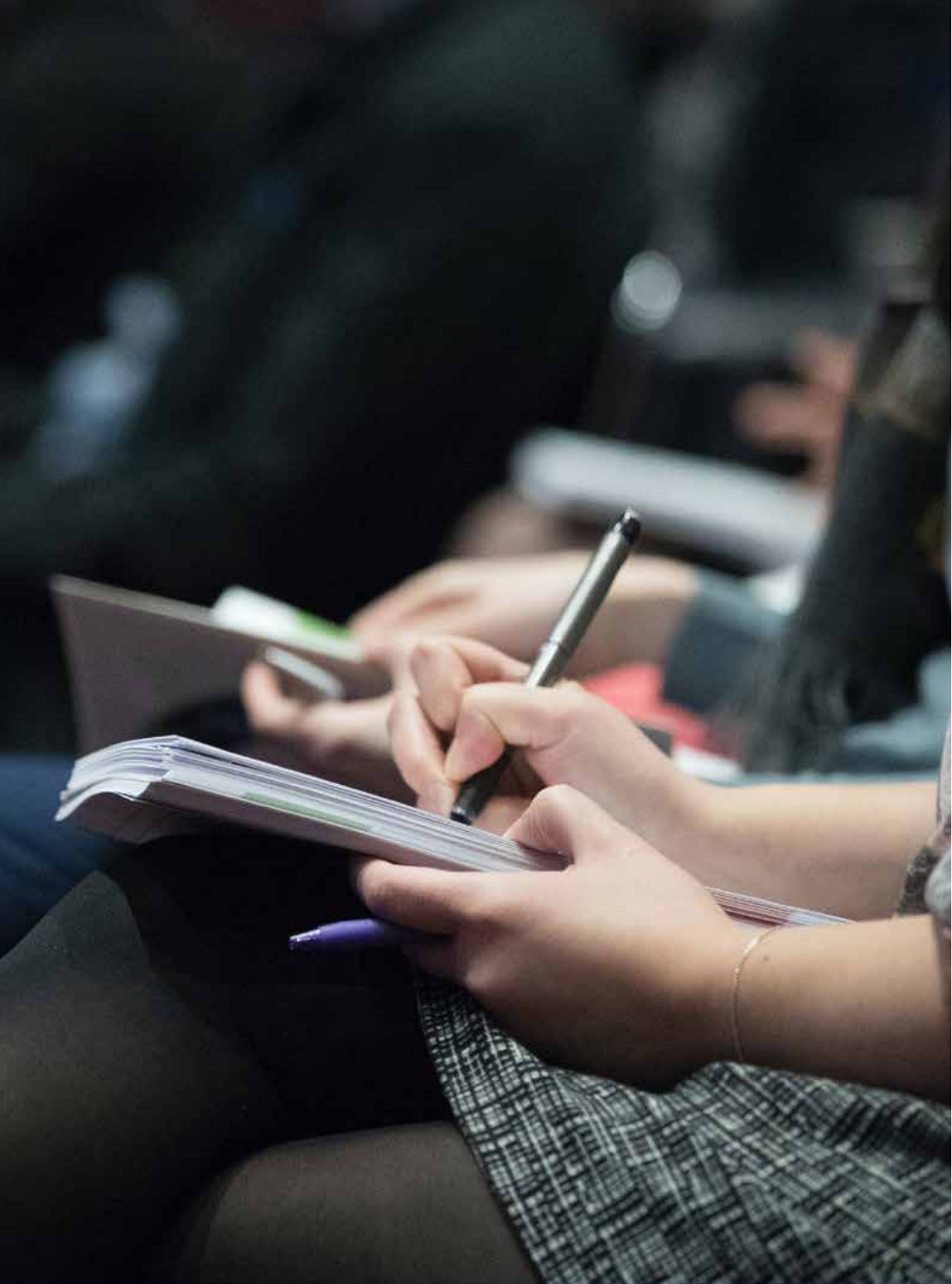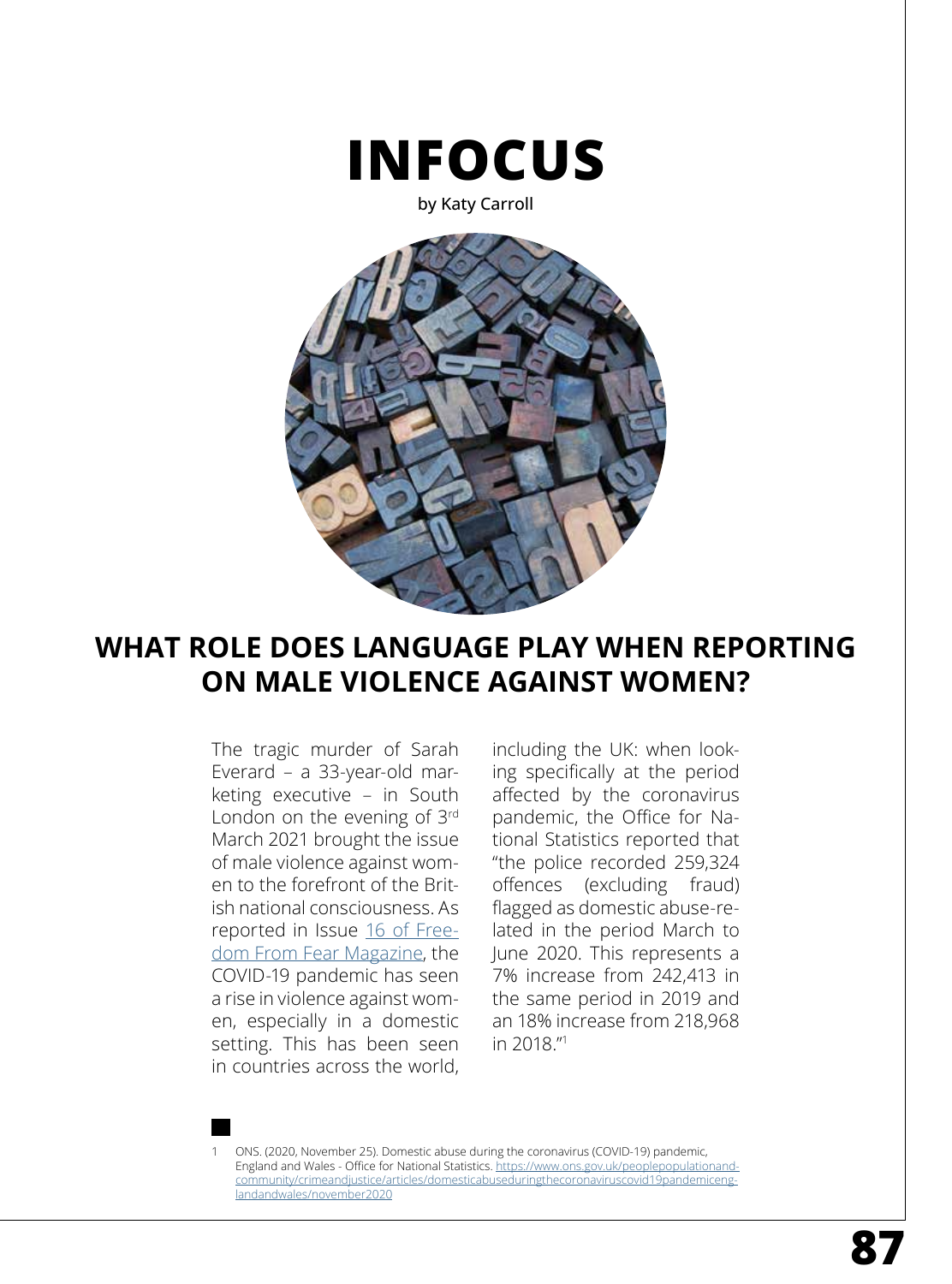

by Katy Carroll



## **WHAT ROLE DOES LANGUAGE PLAY WHEN REPORTING ON MALE VIOLENCE AGAINST WOMEN?**

The tragic murder of Sarah Everard – a 33-year-old marketing executive – in South London on the evening of 3rd March 2021 brought the issue of male violence against women to the forefront of the British national consciousness. As reported in Issue [16 of Free](http://213.254.5.198/index.php/node/3242)[dom From Fear Magazine](http://213.254.5.198/index.php/node/3242), the COVID-19 pandemic has seen a rise in violence against women, especially in a domestic setting. This has been seen in countries across the world,

including the UK: when looking specifically at the period affected by the coronavirus pandemic, the Office for National Statistics reported that "the police recorded 259,324 offences (excluding fraud) flagged as domestic abuse-related in the period March to June 2020. This represents a 7% increase from 242,413 in the same period in 2019 and an 18% increase from 218,968 in 2018."1

1 ONS. (2020, November 25). Domestic abuse during the coronavirus (COVID-19) pandemic, England and Wales - Office for National Statistics. https://www.ons.gov.uk/peoplepopulationandcommunity/crimeandjustice/articles/domesticabuseduringthecoronaviruscovid19pandemicenglandandwales/november2020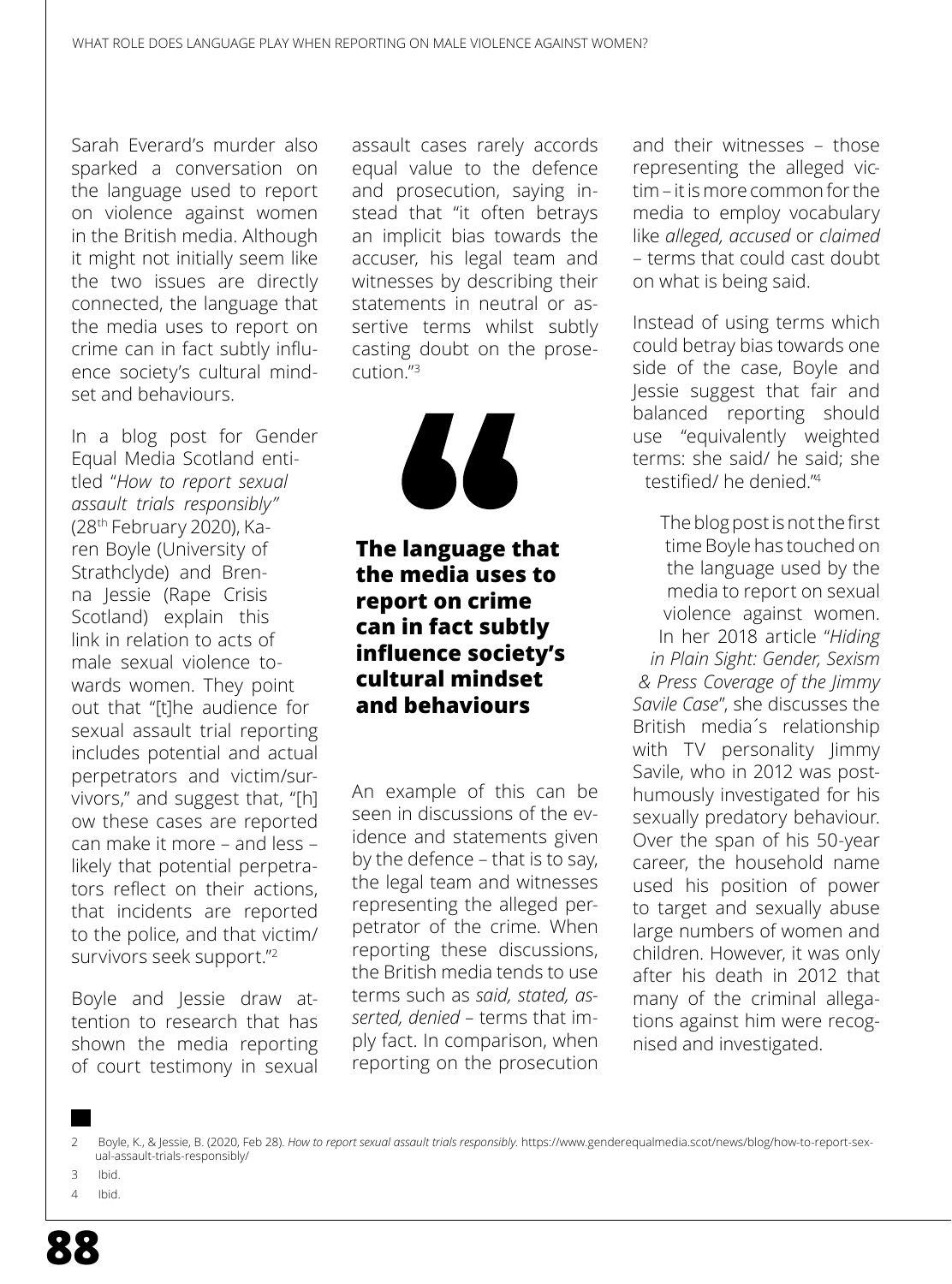Sarah Everard's murder also sparked a conversation on the language used to report on violence against women in the British media. Although it might not initially seem like the two issues are directly connected, the language that the media uses to report on crime can in fact subtly influence society's cultural mindset and behaviours.

In a blog post for Gender Equal Media Scotland entitled "*How to report sexual assault trials responsibly"* (28th February 2020), Karen Boyle (University of Strathclyde) and Brenna Jessie (Rape Crisis Scotland) explain this link in relation to acts of male sexual violence towards women. They point out that "[t]he audience for sexual assault trial reporting includes potential and actual perpetrators and victim/survivors," and suggest that, "[h] ow these cases are reported can make it more – and less – likely that potential perpetrators reflect on their actions, that incidents are reported to the police, and that victim/ survivors seek support."2

Boyle and Jessie draw attention to research that has shown the media reporting of court testimony in sexual

assault cases rarely accords equal value to the defence and prosecution, saying instead that "it often betrays an implicit bias towards the accuser, his legal team and witnesses by describing their statements in neutral or assertive terms whilst subtly casting doubt on the prosecution."3

66 **The language that the media uses to report on crime can in fact subtly influence society's cultural mindset and behaviours**

An example of this can be seen in discussions of the evidence and statements given by the defence – that is to say, the legal team and witnesses representing the alleged perpetrator of the crime. When reporting these discussions, the British media tends to use terms such as *said, stated, asserted, denied –* terms that imply fact. In comparison, when reporting on the prosecution and their witnesses – those representing the alleged victim – it is more common for the media to employ vocabulary like *alleged, accused* or *claimed* – terms that could cast doubt on what is being said.

Instead of using terms which could betray bias towards one side of the case, Boyle and Jessie suggest that fair and balanced reporting should use "equivalently weighted terms: she said/ he said; she testified/ he denied.<sup>"4</sup>

The blog post is not the first time Boyle has touched on the language used by the media to report on sexual violence against women. In her 2018 article "*Hiding in Plain Sight: Gender, Sexism & Press Coverage of the Jimmy Savile Case*", she discusses the British media´s relationship with TV personality Jimmy Savile, who in 2012 was posthumously investigated for his sexually predatory behaviour. Over the span of his 50-year career, the household name used his position of power to target and sexually abuse large numbers of women and children. However, it was only after his death in 2012 that many of the criminal allegations against him were recognised and investigated.

- 3 Ibid.
- Ibid.

<sup>2</sup> Boyle, K., & Jessie, B. (2020, Feb 28). *How to report sexual assault trials responsibly.* https://www.genderequalmedia.scot/news/blog/how-to-report-sexual-assault-trials-responsibly/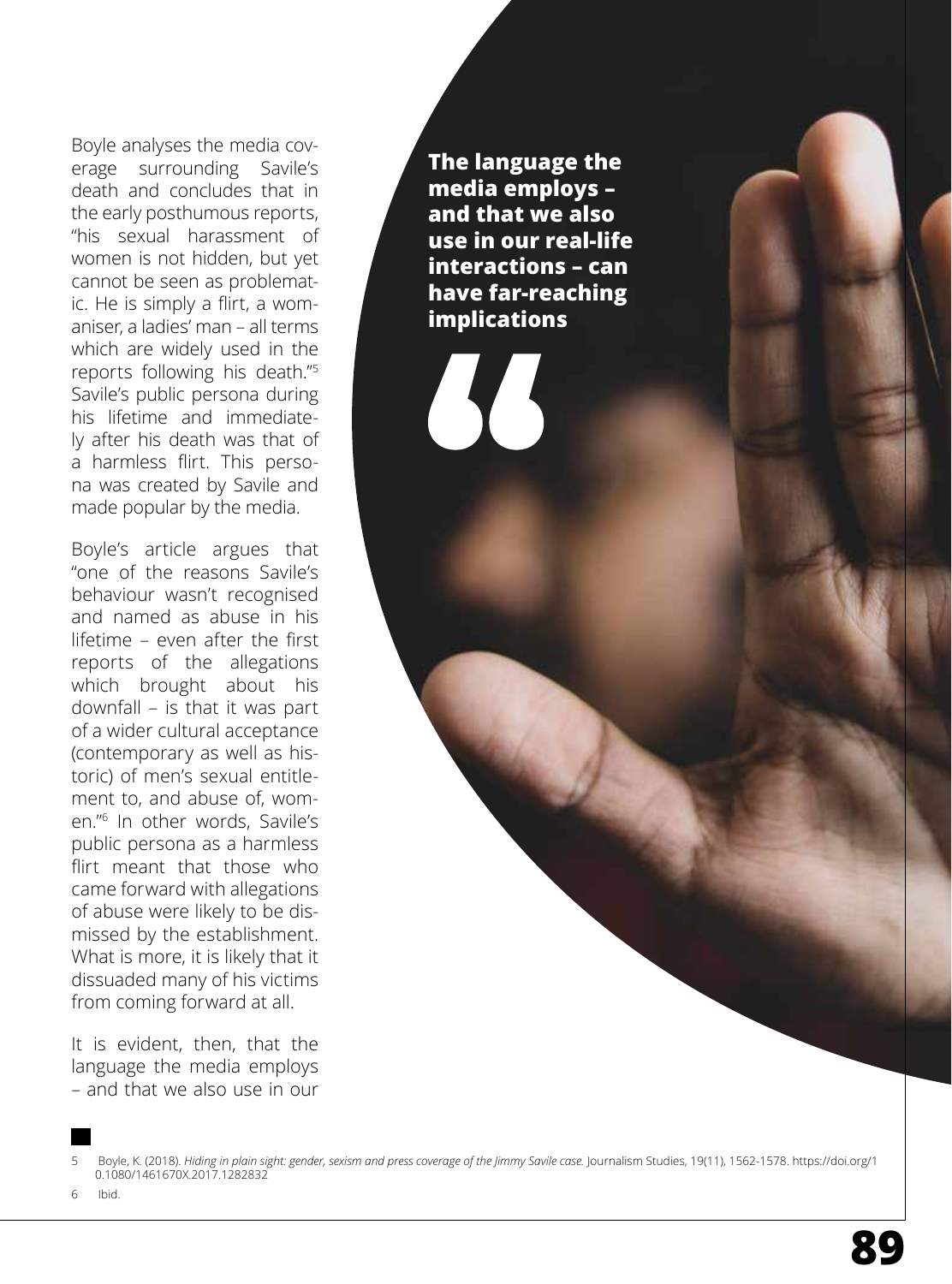Boyle analyses the media coverage surrounding Savile's death and concludes that in the early posthumous reports, "his sexual harassment of women is not hidden, but yet cannot be seen as problematic. He is simply a flirt, a womaniser, a ladies' man – all terms which are widely used in the reports following his death."5 Savile's public persona during his lifetime and immediately after his death was that of a harmless flirt. This persona was created by Savile and made popular by the media.

Boyle's article argues that "one of the reasons Savile's behaviour wasn't recognised and named as abuse in his lifetime – even after the first reports of the allegations which brought about his downfall – is that it was part of a wider cultural acceptance (contemporary as well as historic) of men's sexual entitlement to, and abuse of, women."6 In other words, Savile's public persona as a harmless flirt meant that those who came forward with allegations of abuse were likely to be dismissed by the establishment. What is more, it is likely that it dissuaded many of his victims from coming forward at all.

It is evident, then, that the language the media employs – and that we also use in our

**The language the media employs – and that we also use in our real-life interactions – can have far-reaching implications**

5 Boyle, K. (2018). *Hiding in plain sight: gender, sexism and press coverage of the Jimmy Savile case.* Journalism Studies, 19(11), 1562-1578. https://doi.org/1 0.1080/1461670X.2017.1282832

Ibid.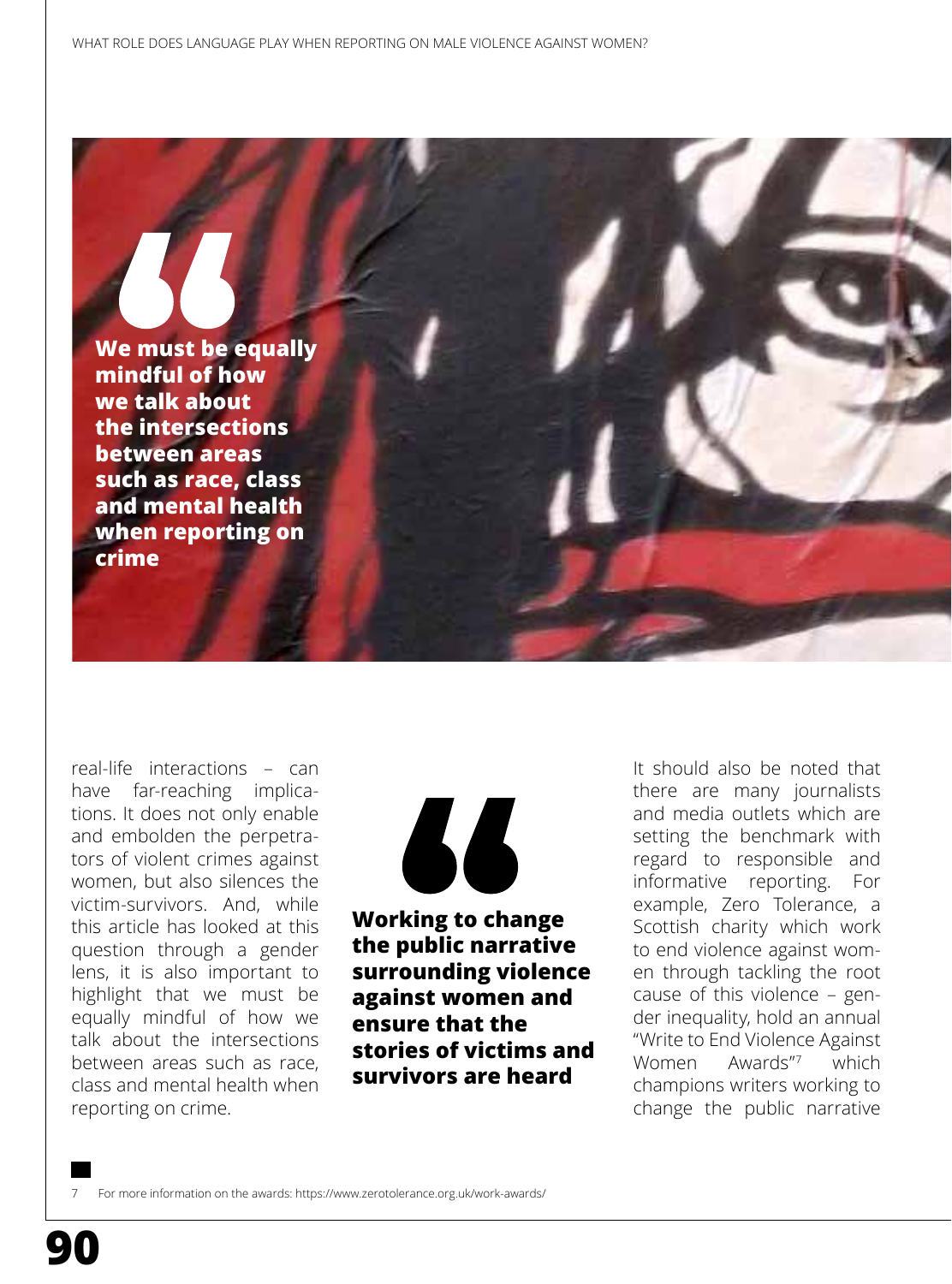

real-life interactions – can have far-reaching implications. It does not only enable and embolden the perpetrators of violent crimes against women, but also silences the victim-survivors. And, while this article has looked at this question through a gender lens, it is also important to highlight that we must be equally mindful of how we talk about the intersections between areas such as race, class and mental health when reporting on crime.

66 **Working to change the public narrative surrounding violence against women and ensure that the stories of victims and survivors are heard**

It should also be noted that there are many journalists and media outlets which are setting the benchmark with regard to responsible and informative reporting. For example, Zero Tolerance, a Scottish charity which work to end violence against women through tackling the root cause of this violence – gender inequality, hold an annual "Write to End Violence Against Women Awards"7 which champions writers working to change the public narrative

7 For more information on the awards: https://www.zerotolerance.org.uk/work-awards/